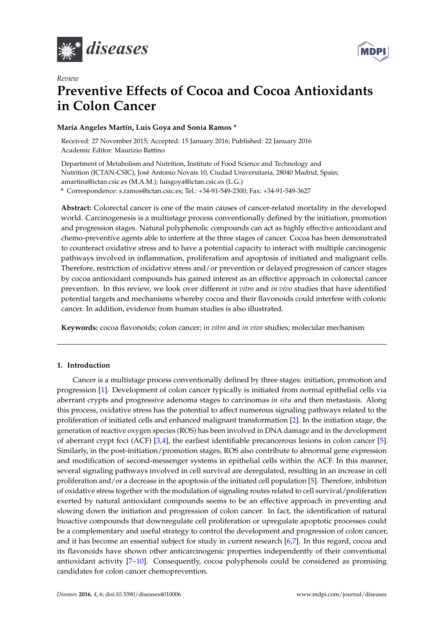



# *Review* **Preventive Effects of Cocoa and Cocoa Antioxidants in Colon Cancer**

# **María Angeles Martín, Luis Goya and Sonia Ramos \***

Received: 27 November 2015; Accepted: 15 January 2016; Published: 22 January 2016 Academic Editor: Maurizio Battino

Department of Metabolism and Nutrition, Institute of Food Science and Technology and Nutrition (ICTAN-CSIC), José Antonio Novais 10, Ciudad Universitaria, 28040 Madrid, Spain; amartina@ictan.csic.es (M.A.M.); luisgoya@ictan.csic.es (L.G.)

**\*** Correspondence: s.ramos@ictan.csic.es; Tel.: +34-91-549-2300; Fax: +34-91-549-3627

**Abstract:** Colorectal cancer is one of the main causes of cancer-related mortality in the developed world. Carcinogenesis is a multistage process conventionally defined by the initiation, promotion and progression stages. Natural polyphenolic compounds can act as highly effective antioxidant and chemo-preventive agents able to interfere at the three stages of cancer. Cocoa has been demonstrated to counteract oxidative stress and to have a potential capacity to interact with multiple carcinogenic pathways involved in inflammation, proliferation and apoptosis of initiated and malignant cells. Therefore, restriction of oxidative stress and/or prevention or delayed progression of cancer stages by cocoa antioxidant compounds has gained interest as an effective approach in colorectal cancer prevention. In this review, we look over different *in vitro* and *in vivo* studies that have identified potential targets and mechanisms whereby cocoa and their flavonoids could interfere with colonic cancer. In addition, evidence from human studies is also illustrated.

**Keywords:** cocoa flavonoids; colon cancer; *in vitro* and *in vivo* studies; molecular mechanism

# **1. Introduction**

Cancer is a multistage process conventionally defined by three stages: initiation, promotion and progression [\[1\]](#page-10-0). Development of colon cancer typically is initiated from normal epithelial cells via aberrant crypts and progressive adenoma stages to carcinomas *in situ* and then metastasis. Along this process, oxidative stress has the potential to affect numerous signaling pathways related to the proliferation of initiated cells and enhanced malignant transformation [\[2\]](#page-10-1). In the initiation stage, the generation of reactive oxygen species (ROS) has been involved in DNA damage and in the development of aberrant crypt foci (ACF) [\[3](#page-10-2)[,4\]](#page-10-3), the earliest identifiable precancerous lesions in colon cancer [\[5\]](#page-10-4). Similarly, in the post-initiation/promotion stages, ROS also contribute to abnormal gene expression and modification of second-messenger systems in epithelial cells within the ACF. In this manner, several signaling pathways involved in cell survival are deregulated, resulting in an increase in cell proliferation and/or a decrease in the apoptosis of the initiated cell population [\[5\]](#page-10-4). Therefore, inhibition of oxidative stress together with the modulation of signaling routes related to cell survival/proliferation exerted by natural antioxidant compounds seems to be an effective approach in preventing and slowing down the initiation and progression of colon cancer. In fact, the identification of natural bioactive compounds that downregulate cell proliferation or upregulate apoptotic processes could be a complementary and useful strategy to control the development and progression of colon cancer, and it has become an essential subject for study in current research [\[6,](#page-10-5)[7\]](#page-10-6). In this regard, cocoa and its flavonoids have shown other anticarcinogenic properties independently of their conventional antioxidant activity [\[7–](#page-10-6)[10\]](#page-10-7). Consequently, cocoa polyphenols could be considered as promising candidates for colon cancer chemoprevention.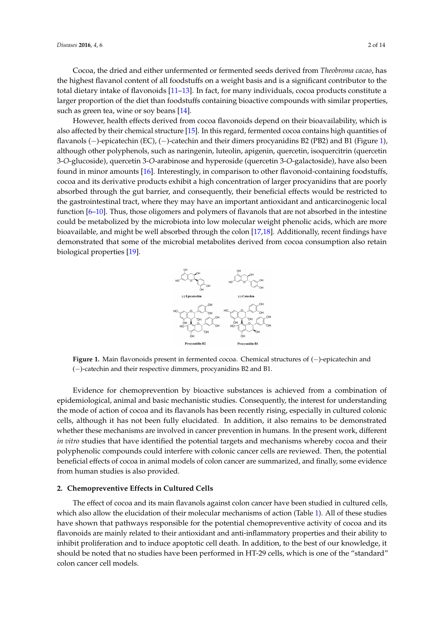Cocoa, the dried and either unfermented or fermented seeds derived from *Theobroma cacao*, has the highest flavanol content of all foodstuffs on a weight basis and is a significant contributor to the total dietary intake of flavonoids [\[11](#page-10-8)[–13\]](#page-10-9). In fact, for many individuals, cocoa products constitute a larger proportion of the diet than foodstuffs containing bioactive compounds with similar properties, such as green tea, wine or soy beans [\[14\]](#page-10-10).

However, health effects derived from cocoa flavonoids depend on their bioavailability, which is *Diseases* **2016**, *4*, 6 2 of 13 also affected by their chemical structure [\[15\]](#page-10-11). In this regard, fermented cocoa contains high quantities of flavanols  $(-)$ -epicatechin (EC),  $(-)$ -catechin and their dimers procyanidins B2 (PB2) and B1 (Figure [1\)](#page-1-0), although other polyphenols, such as naringenin, luteolin, apigenin, quercetin, isoquercitrin (quercetin 3-O-glucoside), quercetin 3-O-arabinose and hyperoside (quercetin 3-O-galactoside), have also been found in minor amounts [\[16\]](#page-10-12). Interestingly, in comparison to other flavonoid-containing foodstuffs, cocoa and its derivative products exhibit a high concentration of larger procyanidins that are poorly absorbed through the gut barrier, and consequently, their beneficial effects would be restricted to the gastrointestinal tract, where they may have an important antioxidant and anticarcinogenic local function [\[6](#page-10-5)-10]. Thus, those oligomers and polymers of flavanols that are not absorbed in the intestine could be metabolized by the microbiota into low molecular weight phenolic acids, which are more bioavailable, and might be well absorbed through the colon [\[17,](#page-10-13)[18\]](#page-11-0). Additionally, recent findings have demonstrated that some of the microbial metabolites derived from cocoa consumption also retain biological properties  $[19]$ . total dietary intervalse of flavonoids  $\frac{1}{\sqrt{1-\frac{1}{\sqrt{1-\frac{1}{\sqrt{1-\frac{1}{\sqrt{1-\frac{1}{\sqrt{1-\frac{1}{\sqrt{1-\frac{1}{\sqrt{1-\frac{1}{\sqrt{1-\frac{1}{\sqrt{1-\frac{1}{\sqrt{1-\frac{1}{\sqrt{1-\frac{1}{\sqrt{1-\frac{1}{\sqrt{1-\frac{1}{\sqrt{1-\frac{1}{\sqrt{1-\frac{1}{\sqrt{1-\frac{1}{\sqrt{1-\frac{1}{\sqrt{1-\frac{1}{\sqrt{1-\frac{1}{\sqrt{1-\$ allowing  $[10]$ . Interestingly, in comparison to other havonold-contain (quercetin 3-*O*-glucoside), quercetin 3-*O*-arabinose and hyperoside (quercetin 3-*O*-galactoside), have are poorly absorbed through the guide through the guide barrier, the consequently, the consequently, the consequent  $\alpha$  some or the micropial metabolites derived from cocoa consumption



<span id="page-1-0"></span>**Figure 1.** Main flavonoids present in fermented cocoa. Chemical structures of (−)-epicatechin and (–)-catechin and their respective dimmers, procyanidins B2 and B1.

for chamoprovestion by bioactive substances is achieved from a  $c$ Evidence for chemoprevention by bioactive substances is achieved from a combination of epidemiological, animal and basic mechanistic studies. Consequently, the interest for understanding the mode of action of cocoa and its flavanols has been recently rising, especially in cultured colonic and the polyphenolic compounds compounds compounds continued. Then, then, then, then, then, then, then, then, then, then, then, then, then, then, then, then, then, then, then, then, then, then, then, then, then, then, the cells, although it has not been fully elucidated. In addition, it also remains to be demonstrated whether these mechanisms are involved in cancer prevention in humans. In the present work, different *in vitro* studies that have identified the potential targets and mechanisms whereby cocoa and their polyphenolic compounds could interfere with colonic cancer cells are reviewed. Then, the potential beneficial effects of cocoa in animal models of colon cancer are summarized, and finally, some evidence  $s_{\text{min}}$  is a pathways responsible for the potential chemoprevential chemopreventive activity of cocoactivity of cocoactivity of cocoactivity of cocoactivity of cocoactivity of cocoactivity of cocoactivity of cocoactivit from human studies is also provided.

## 2. Chemopreventive Effects in Cultured Cells

The effect of cocoa and its main flavanols against colon cancer have been studied in cultured cells, which also allow the elucidation of their molecular mechanisms of action (Table [1\)](#page-3-0). All of these studies have shown that pathways responsible for the potential chemopreventive activity of cocoa and its flavonoids are mainly related to their antioxidant and anti-inflammatory properties and their ability to inhibit proliferation and to induce apoptotic cell death. In addition, to the best of our knowledge, it should be noted that no studies have been performed in HT-29 cells, which is one of the "standard" colon cancer cell models.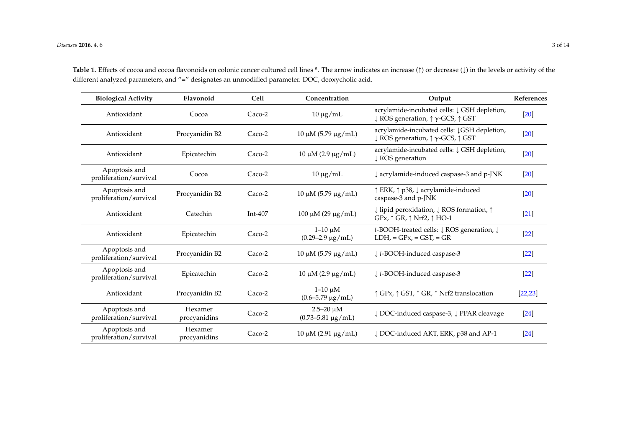| <b>Biological Activity</b>              | Flavonoid               | <b>Cell</b> | Concentration                                                                                            | Output                                                                                                                          | References |
|-----------------------------------------|-------------------------|-------------|----------------------------------------------------------------------------------------------------------|---------------------------------------------------------------------------------------------------------------------------------|------------|
| Antioxidant                             | Cocoa                   | Caco-2      | $10 \mu g/mL$                                                                                            | acrylamide-incubated cells: $\downarrow$ GSH depletion,<br>$\downarrow$ ROS generation, $\uparrow \gamma$ -GCS, $\uparrow$ GST  | $[20]$     |
| Antioxidant                             | Procyanidin B2          | Caco-2      | $10 \mu M$ (5.79 μg/mL)                                                                                  | acrylamide-incubated cells: JGSH depletion,<br>$\downarrow$ ROS generation, $\uparrow \gamma$ -GCS, $\uparrow$ GST              | $[20]$     |
| Antioxidant                             | Epicatechin             | Caco-2      | acrylamide-incubated cells: $\downarrow$ GSH depletion,<br>$10 \mu M (2.9 \mu g/mL)$<br>↓ ROS generation |                                                                                                                                 | $[20]$     |
| Apoptosis and<br>proliferation/survival | Cocoa                   | Caco-2      | $10 \mu g/mL$                                                                                            | ↓ acrylamide-induced caspase-3 and p-JNK                                                                                        | $[20]$     |
| Apoptosis and<br>proliferation/survival | Procyanidin B2          | Caco-2      | $10 \mu M$ (5.79 μg/mL)                                                                                  | ↑ ERK, ↑ p38, ↓ acrylamide-induced<br>caspase-3 and p-JNK                                                                       | $[20]$     |
| Antioxidant                             | Catechin                | Int-407     | $100 \mu M (29 \mu g/mL)$                                                                                | $\downarrow$ lipid peroxidation, $\downarrow$ ROS formation, $\uparrow$<br>$GPx, \uparrow$ GR, $\uparrow$ Nrf2, $\uparrow$ HO-1 | $[21]$     |
| Antioxidant                             | Epicatechin             | Caco-2      | $1-10 \mu M$<br>$(0.29 - 2.9 \,\mu g/mL)$                                                                | t-BOOH-treated cells: ↓ ROS generation, ↓<br>$LDH$ , = $GPx$ , = $GST$ , = $GR$                                                 | $[22]$     |
| Apoptosis and<br>proliferation/survival | Procyanidin B2          | $Caco-2$    | $10 \mu M$ (5.79 μg/mL)                                                                                  | $\downarrow$ t-BOOH-induced caspase-3                                                                                           | $[22]$     |
| Apoptosis and<br>proliferation/survival | Epicatechin             | Caco-2      | $10 \mu M (2.9 \mu g/mL)$                                                                                | ↓ t-BOOH-induced caspase-3                                                                                                      | $[22]$     |
| Antioxidant                             | Procyanidin B2          | Caco-2      | $1-10 \mu M$<br>$(0.6 - 5.79 \,\mu g/mL)$                                                                | ↑ GPx, ↑ GST, ↑ GR, ↑ Nrf2 translocation                                                                                        | [22, 23]   |
| Apoptosis and<br>proliferation/survival | Hexamer<br>procyanidins | Caco-2      | $2.5 - 20 \mu M$<br>$(0.73 - 5.81 \,\mu g/mL)$                                                           | ↓ DOC-induced caspase-3, ↓ PPAR cleavage                                                                                        | $[24]$     |
| Apoptosis and<br>proliferation/survival | Hexamer<br>procyanidins | $Caco-2$    | $10 \mu M (2.91 \mu g/mL)$                                                                               | ↓ DOC-induced AKT, ERK, p38 and AP-1                                                                                            | $[24]$     |

Table 1. Effects of cocoa and cocoa flavonoids on colonic cancer cultured cell lines <sup>a</sup>. The arrow indicates an increase (1) or decrease ( $\downarrow$ ) in the levels or activity of the different analyzed parameters, and "=" designates an unmodified parameter. DOC, deoxycholic acid.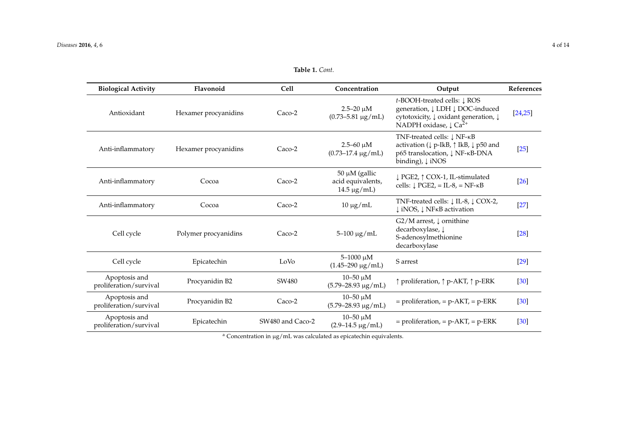Apoptosis and

| <b>Biological Activity</b>              | Flavonoid            | <b>Cell</b> | Concentration                                                | Output                                                                                                                                                               | References |
|-----------------------------------------|----------------------|-------------|--------------------------------------------------------------|----------------------------------------------------------------------------------------------------------------------------------------------------------------------|------------|
| Antioxidant                             | Hexamer procyanidins | Caco-2      | $2.5 - 20 \mu M$<br>$(0.73 - 5.81 \,\mu g/mL)$               | t-BOOH-treated cells: ↓ ROS<br>generation, ↓ LDH ↓ DOC-induced<br>cytotoxicity, ↓ oxidant generation, ↓<br>NADPH oxidase, $\downarrow$ Ca <sup>2+</sup>              | [24,25]    |
| Anti-inflammatory                       | Hexamer procyanidins | Caco-2      | $2.5 - 60 \mu M$<br>$(0.73 - 17.4 \text{ µg/mL})$            | TNF-treated cells: ↓ NF-KB<br>activation ( $\downarrow$ p-IkB, $\uparrow$ IkB, $\downarrow$ p50 and<br>p65 translocation, ↓ NF-KB-DNA<br>binding), $\downarrow$ iNOS | $[25]$     |
| Anti-inflammatory                       | Cocoa                | Caco-2      | $50 \mu M$ (gallic<br>acid equivalents,<br>$14.5 \,\mu g/mL$ | ↓ PGE2, ↑ COX-1, IL-stimulated<br>cells: $\downarrow$ PGE2, = IL-8, = NF- $\kappa$ B                                                                                 | $[26]$     |
| Anti-inflammatory                       | Cocoa                | Caco-2      | $10 \mu g/mL$                                                | TNF-treated cells: ↓ IL-8, ↓ COX-2,<br>↓ iNOS, ↓ NFKB activation                                                                                                     | $[27]$     |
| Cell cycle                              | Polymer procyanidins | Caco-2      | $5 - 100 \mu g/mL$                                           | $G2/M$ arrest, $\downarrow$ ornithine<br>decarboxylase, $\downarrow$<br>S-adenosylmethionine<br>decarboxylase                                                        | $[28]$     |
| Cell cycle                              | Epicatechin          | LoVo        | $5 - 1000 \mu M$<br>$(1.45 - 290 \text{ µg/mL})$             | S arrest                                                                                                                                                             | $[29]$     |
| Apoptosis and<br>proliferation/survival | Procyanidin B2       | SW480       | $10 - 50 \mu M$<br>$(5.79 - 28.93 \mu g/mL)$                 | ↑ proliferation, ↑ p-AKT, ↑ p-ERK                                                                                                                                    | $[30]$     |
| Apoptosis and<br>proliferation/survival | Procyanidin B2       | Caco-2      | $10 - 50 \mu M$<br>$(5.79 - 28.93 \mu g/mL)$                 | $=$ proliferation, $=$ p-AKT, $=$ p-ERK                                                                                                                              | $[30]$     |

**Table 1.** *Cont.*

<sup>a</sup> Concentration in µg/mL was calculated as epicatechin equivalents.

 $=$  proliferation,  $=$  p-AKT,  $=$  p-ERK [\[30\]](#page-11-12)

<span id="page-3-0"></span>Apoptosis and<br>
Ficatechin SW480 and Caco-2  $10-50 \mu M$ <br>
(2.9–14.5  $\mu$ g/mL)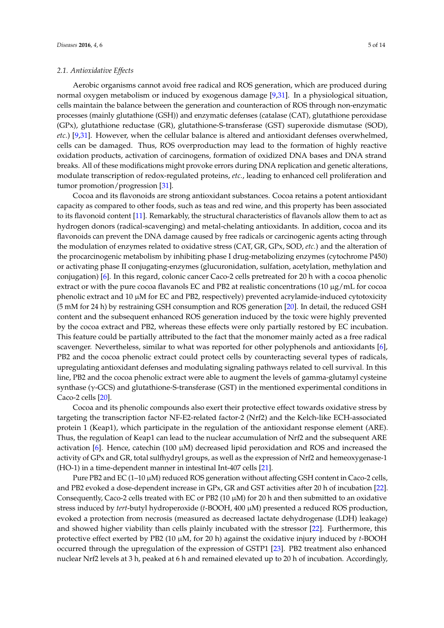Aerobic organisms cannot avoid free radical and ROS generation, which are produced during normal oxygen metabolism or induced by exogenous damage [\[9,](#page-10-14)[31\]](#page-11-13). In a physiological situation, cells maintain the balance between the generation and counteraction of ROS through non-enzymatic processes (mainly glutathione (GSH)) and enzymatic defenses (catalase (CAT), glutathione peroxidase (GPx), glutathione reductase (GR), glutathione-S-transferase (GST) superoxide dismutase (SOD), *etc.*) [\[9](#page-10-14)[,31\]](#page-11-13). However, when the cellular balance is altered and antioxidant defenses overwhelmed, cells can be damaged. Thus, ROS overproduction may lead to the formation of highly reactive oxidation products, activation of carcinogens, formation of oxidized DNA bases and DNA strand breaks. All of these modifications might provoke errors during DNA replication and genetic alterations, modulate transcription of redox-regulated proteins, *etc.*, leading to enhanced cell proliferation and tumor promotion/progression [\[31\]](#page-11-13).

Cocoa and its flavonoids are strong antioxidant substances. Cocoa retains a potent antioxidant capacity as compared to other foods, such as teas and red wine, and this property has been associated to its flavonoid content [\[11\]](#page-10-8). Remarkably, the structural characteristics of flavanols allow them to act as hydrogen donors (radical-scavenging) and metal-chelating antioxidants. In addition, cocoa and its flavonoids can prevent the DNA damage caused by free radicals or carcinogenic agents acting through the modulation of enzymes related to oxidative stress (CAT, GR, GPx, SOD, *etc.*) and the alteration of the procarcinogenic metabolism by inhibiting phase I drug-metabolizing enzymes (cytochrome P450) or activating phase II conjugating-enzymes (glucuronidation, sulfation, acetylation, methylation and conjugation) [\[6\]](#page-10-5). In this regard, colonic cancer Caco-2 cells pretreated for 20 h with a cocoa phenolic extract or with the pure cocoa flavanols EC and PB2 at realistic concentrations  $(10 \mu g/mL$  for cocoa phenolic extract and 10 µM for EC and PB2, respectively) prevented acrylamide-induced cytotoxicity (5 mM for 24 h) by restraining GSH consumption and ROS generation [\[20\]](#page-11-14). In detail, the reduced GSH content and the subsequent enhanced ROS generation induced by the toxic were highly prevented by the cocoa extract and PB2, whereas these effects were only partially restored by EC incubation. This feature could be partially attributed to the fact that the monomer mainly acted as a free radical scavenger. Nevertheless, similar to what was reported for other polyphenols and antioxidants [\[6\]](#page-10-5), PB2 and the cocoa phenolic extract could protect cells by counteracting several types of radicals, upregulating antioxidant defenses and modulating signaling pathways related to cell survival. In this line, PB2 and the cocoa phenolic extract were able to augment the levels of gamma-glutamyl cysteine synthase (γ-GCS) and glutathione-S-transferase (GST) in the mentioned experimental conditions in Caco-2 cells [\[20\]](#page-11-14).

Cocoa and its phenolic compounds also exert their protective effect towards oxidative stress by targeting the transcription factor NF-E2-related factor-2 (Nrf2) and the Kelch-like ECH-associated protein 1 (Keap1), which participate in the regulation of the antioxidant response element (ARE). Thus, the regulation of Keap1 can lead to the nuclear accumulation of Nrf2 and the subsequent ARE activation [\[6\]](#page-10-5). Hence, catechin (100  $\mu$ M) decreased lipid peroxidation and ROS and increased the activity of GPx and GR, total sulfhydryl groups, as well as the expression of Nrf2 and hemeoxygenase-1 (HO-1) in a time-dependent manner in intestinal Int-407 cells [\[21\]](#page-11-15).

Pure PB2 and EC (1–10  $\mu$ M) reduced ROS generation without affecting GSH content in Caco-2 cells, and PB2 evoked a dose-dependent increase in GPx, GR and GST activities after 20 h of incubation [\[22\]](#page-11-16). Consequently, Caco-2 cells treated with EC or PB2 (10  $\mu$ M) for 20 h and then submitted to an oxidative stress induced by *tert*-butyl hydroperoxide (*t*-BOOH, 400 µM) presented a reduced ROS production, evoked a protection from necrosis (measured as decreased lactate dehydrogenase (LDH) leakage) and showed higher viability than cells plainly incubated with the stressor [\[22\]](#page-11-16). Furthermore, this protective effect exerted by PB2 (10 µM, for 20 h) against the oxidative injury induced by *t*-BOOH occurred through the upregulation of the expression of GSTP1 [\[23\]](#page-11-17). PB2 treatment also enhanced nuclear Nrf2 levels at 3 h, peaked at 6 h and remained elevated up to 20 h of incubation. Accordingly,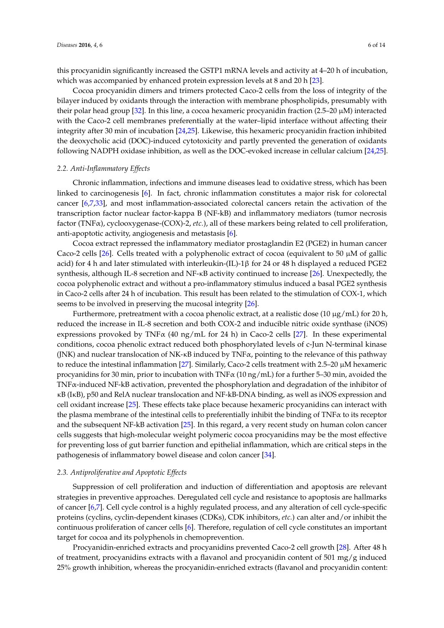this procyanidin significantly increased the GSTP1 mRNA levels and activity at 4–20 h of incubation, which was accompanied by enhanced protein expression levels at 8 and 20 h [\[23\]](#page-11-17).

Cocoa procyanidin dimers and trimers protected Caco-2 cells from the loss of integrity of the bilayer induced by oxidants through the interaction with membrane phospholipids, presumably with their polar head group [\[32\]](#page-11-18). In this line, a cocoa hexameric procyanidin fraction (2.5–20 µM) interacted with the Caco-2 cell membranes preferentially at the water–lipid interface without affecting their integrity after 30 min of incubation [\[24](#page-11-19)[,25\]](#page-11-20). Likewise, this hexameric procyanidin fraction inhibited the deoxycholic acid (DOC)-induced cytotoxicity and partly prevented the generation of oxidants following NADPH oxidase inhibition, as well as the DOC-evoked increase in cellular calcium [\[24,](#page-11-19)[25\]](#page-11-20).

#### *2.2. Anti-Inflammatory Effects*

Chronic inflammation, infections and immune diseases lead to oxidative stress, which has been linked to carcinogenesis [\[6\]](#page-10-5). In fact, chronic inflammation constitutes a major risk for colorectal cancer [\[6](#page-10-5)[,7](#page-10-6)[,33\]](#page-11-21), and most inflammation-associated colorectal cancers retain the activation of the transcription factor nuclear factor-kappa B (NF-kB) and inflammatory mediators (tumor necrosis factor (TNFα), cyclooxygenase-(COX)-2, *etc.*), all of these markers being related to cell proliferation, anti-apoptotic activity, angiogenesis and metastasis [\[6\]](#page-10-5).

Cocoa extract repressed the inflammatory mediator prostaglandin E2 (PGE2) in human cancer Caco-2 cells [\[26\]](#page-11-22). Cells treated with a polyphenolic extract of cocoa (equivalent to 50  $\mu$ M of gallic acid) for 4 h and later stimulated with interleukin-(IL)-1β for 24 or 48 h displayed a reduced PGE2 synthesis, although IL-8 secretion and NF-κB activity continued to increase [\[26\]](#page-11-22). Unexpectedly, the cocoa polyphenolic extract and without a pro-inflammatory stimulus induced a basal PGE2 synthesis in Caco-2 cells after 24 h of incubation. This result has been related to the stimulation of COX-1, which seems to be involved in preserving the mucosal integrity [\[26\]](#page-11-22).

Furthermore, pretreatment with a cocoa phenolic extract, at a realistic dose (10  $\mu$ g/mL) for 20 h, reduced the increase in IL-8 secretion and both COX-2 and inducible nitric oxide synthase (iNOS) expressions provoked by TNF $\alpha$  (40 ng/mL for 24 h) in Caco-2 cells [\[27\]](#page-11-23). In these experimental conditions, cocoa phenolic extract reduced both phosphorylated levels of c-Jun N-terminal kinase (JNK) and nuclear translocation of NK- $\kappa$ B induced by TNF $\alpha$ , pointing to the relevance of this pathway to reduce the intestinal inflammation [\[27\]](#page-11-23). Similarly, Caco-2 cells treatment with  $2.5-20 \mu M$  hexameric procyanidins for 30 min, prior to incubation with TNFα (10 ng/mL) for a further 5–30 min, avoided the TNFα-induced NF-kB activation, prevented the phosphorylation and degradation of the inhibitor of κB (IκB), p50 and RelA nuclear translocation and NF-kB-DNA binding, as well as iNOS expression and cell oxidant increase [\[25\]](#page-11-20). These effects take place because hexameric procyanidins can interact with the plasma membrane of the intestinal cells to preferentially inhibit the binding of TNFα to its receptor and the subsequent NF-kB activation [\[25\]](#page-11-20). In this regard, a very recent study on human colon cancer cells suggests that high-molecular weight polymeric cocoa procyanidins may be the most effective for preventing loss of gut barrier function and epithelial inflammation, which are critical steps in the pathogenesis of inflammatory bowel disease and colon cancer [\[34\]](#page-11-24).

#### *2.3. Antiproliferative and Apoptotic Effects*

Suppression of cell proliferation and induction of differentiation and apoptosis are relevant strategies in preventive approaches. Deregulated cell cycle and resistance to apoptosis are hallmarks of cancer [\[6,](#page-10-5)[7\]](#page-10-6). Cell cycle control is a highly regulated process, and any alteration of cell cycle-specific proteins (cyclins, cyclin-dependent kinases (CDKs), CDK inhibitors, *etc.*) can alter and/or inhibit the continuous proliferation of cancer cells [\[6\]](#page-10-5). Therefore, regulation of cell cycle constitutes an important target for cocoa and its polyphenols in chemoprevention.

Procyanidin-enriched extracts and procyanidins prevented Caco-2 cell growth [\[28\]](#page-11-25). After 48 h of treatment, procyanidins extracts with a flavanol and procyanidin content of 501 mg/g induced 25% growth inhibition, whereas the procyanidin-enriched extracts (flavanol and procyanidin content: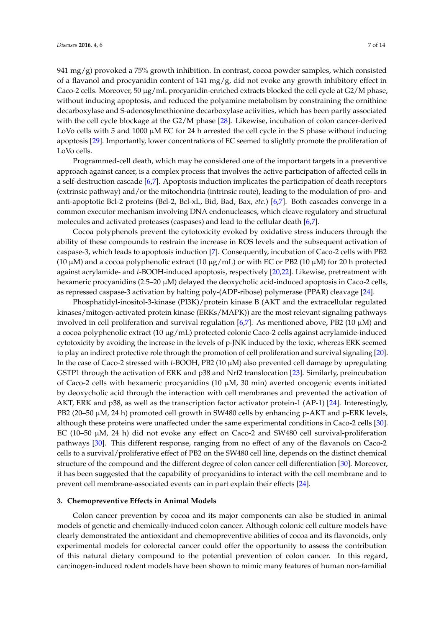941 mg/g) provoked a 75% growth inhibition. In contrast, cocoa powder samples, which consisted of a flavanol and procyanidin content of 141 mg/g, did not evoke any growth inhibitory effect in Caco-2 cells. Moreover, 50 µg/mL procyanidin-enriched extracts blocked the cell cycle at G2/M phase, without inducing apoptosis, and reduced the polyamine metabolism by constraining the ornithine decarboxylase and S-adenosylmethionine decarboxylase activities, which has been partly associated with the cell cycle blockage at the G2/M phase [\[28\]](#page-11-25). Likewise, incubation of colon cancer-derived LoVo cells with 5 and 1000  $\mu$ M EC for 24 h arrested the cell cycle in the S phase without inducing apoptosis [\[29\]](#page-11-26). Importantly, lower concentrations of EC seemed to slightly promote the proliferation of LoVo cells.

Programmed-cell death, which may be considered one of the important targets in a preventive approach against cancer, is a complex process that involves the active participation of affected cells in a self-destruction cascade [\[6](#page-10-5)[,7\]](#page-10-6). Apoptosis induction implicates the participation of death receptors (extrinsic pathway) and/or the mitochondria (intrinsic route), leading to the modulation of pro- and anti-apoptotic Bcl-2 proteins (Bcl-2, Bcl-xL, Bid, Bad, Bax, *etc.*) [\[6,](#page-10-5)[7\]](#page-10-6). Both cascades converge in a common executor mechanism involving DNA endonucleases, which cleave regulatory and structural molecules and activated proteases (caspases) and lead to the cellular death [\[6](#page-10-5)[,7\]](#page-10-6).

Cocoa polyphenols prevent the cytotoxicity evoked by oxidative stress inducers through the ability of these compounds to restrain the increase in ROS levels and the subsequent activation of caspase-3, which leads to apoptosis induction [\[7\]](#page-10-6). Consequently, incubation of Caco-2 cells with PB2 (10  $\mu$ M) and a cocoa polyphenolic extract (10  $\mu$ g/mL) or with EC or PB2 (10  $\mu$ M) for 20 h protected against acrylamide- and *t*-BOOH-induced apoptosis, respectively [\[20,](#page-11-14)[22\]](#page-11-16). Likewise, pretreatment with hexameric procyanidins (2.5–20  $\mu$ M) delayed the deoxycholic acid-induced apoptosis in Caco-2 cells, as repressed caspase-3 activation by halting poly-(ADP-ribose) polymerase (PPAR) cleavage [\[24\]](#page-11-19).

Phosphatidyl-inositol-3-kinase (PI3K)/protein kinase B (AKT and the extracellular regulated kinases/mitogen-activated protein kinase (ERKs/MAPK)) are the most relevant signaling pathways involved in cell proliferation and survival regulation [\[6,](#page-10-5)[7\]](#page-10-6). As mentioned above, PB2 (10  $\mu$ M) and a cocoa polyphenolic extract (10  $\mu$ g/mL) protected colonic Caco-2 cells against acrylamide-induced cytotoxicity by avoiding the increase in the levels of p-JNK induced by the toxic, whereas ERK seemed to play an indirect protective role through the promotion of cell proliferation and survival signaling [\[20\]](#page-11-14). In the case of Caco-2 stressed with *t*-BOOH, PB2 (10 µM) also prevented cell damage by upregulating GSTP1 through the activation of ERK and p38 and Nrf2 translocation [\[23\]](#page-11-17). Similarly, preincubation of Caco-2 cells with hexameric procyanidins (10  $\mu$ M, 30 min) averted oncogenic events initiated by deoxycholic acid through the interaction with cell membranes and prevented the activation of AKT, ERK and p38, as well as the transcription factor activator protein-1 (AP-1) [\[24\]](#page-11-19). Interestingly, PB2 (20–50  $\mu$ M, 24 h) promoted cell growth in SW480 cells by enhancing p-AKT and p-ERK levels, although these proteins were unaffected under the same experimental conditions in Caco-2 cells [\[30\]](#page-11-27). EC (10–50  $\mu$ M, 24 h) did not evoke any effect on Caco-2 and SW480 cell survival-proliferation pathways [\[30\]](#page-11-27). This different response, ranging from no effect of any of the flavanols on Caco-2 cells to a survival/proliferative effect of PB2 on the SW480 cell line, depends on the distinct chemical structure of the compound and the different degree of colon cancer cell differentiation [\[30\]](#page-11-27). Moreover, it has been suggested that the capability of procyanidins to interact with the cell membrane and to prevent cell membrane-associated events can in part explain their effects [\[24\]](#page-11-19).

## **3. Chemopreventive Effects in Animal Models**

Colon cancer prevention by cocoa and its major components can also be studied in animal models of genetic and chemically-induced colon cancer. Although colonic cell culture models have clearly demonstrated the antioxidant and chemopreventive abilities of cocoa and its flavonoids, only experimental models for colorectal cancer could offer the opportunity to assess the contribution of this natural dietary compound to the potential prevention of colon cancer. In this regard, carcinogen-induced rodent models have been shown to mimic many features of human non-familial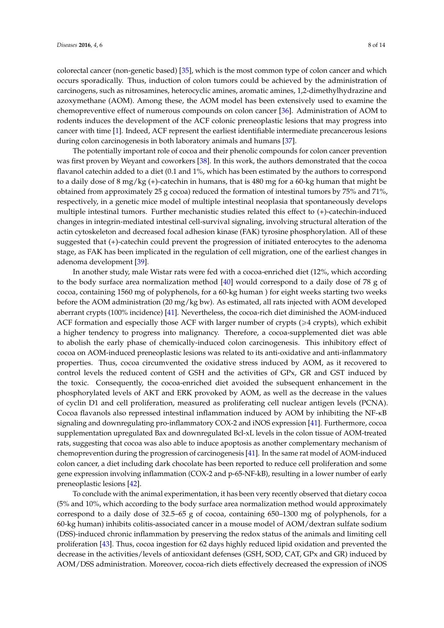colorectal cancer (non-genetic based) [\[35\]](#page-11-28), which is the most common type of colon cancer and which occurs sporadically. Thus, induction of colon tumors could be achieved by the administration of carcinogens, such as nitrosamines, heterocyclic amines, aromatic amines, 1,2-dimethylhydrazine and azoxymethane (AOM). Among these, the AOM model has been extensively used to examine the chemopreventive effect of numerous compounds on colon cancer [\[36\]](#page-11-29). Administration of AOM to rodents induces the development of the ACF colonic preneoplastic lesions that may progress into cancer with time [\[1\]](#page-10-0). Indeed, ACF represent the earliest identifiable intermediate precancerous lesions during colon carcinogenesis in both laboratory animals and humans [\[37\]](#page-12-0).

The potentially important role of cocoa and their phenolic compounds for colon cancer prevention was first proven by Weyant and coworkers [\[38\]](#page-12-1). In this work, the authors demonstrated that the cocoa flavanol catechin added to a diet (0.1 and 1%, which has been estimated by the authors to correspond to a daily dose of 8 mg/kg (+)-catechin in humans, that is 480 mg for a 60-kg human that might be obtained from approximately 25 g cocoa) reduced the formation of intestinal tumors by 75% and 71%, respectively, in a genetic mice model of multiple intestinal neoplasia that spontaneously develops multiple intestinal tumors. Further mechanistic studies related this effect to (+)-catechin-induced changes in integrin-mediated intestinal cell-survival signaling, involving structural alteration of the actin cytoskeleton and decreased focal adhesion kinase (FAK) tyrosine phosphorylation. All of these suggested that (+)-catechin could prevent the progression of initiated enterocytes to the adenoma stage, as FAK has been implicated in the regulation of cell migration, one of the earliest changes in adenoma development [\[39\]](#page-12-2).

In another study, male Wistar rats were fed with a cocoa-enriched diet (12%, which according to the body surface area normalization method [\[40\]](#page-12-3) would correspond to a daily dose of 78 g of cocoa, containing 1560 mg of polyphenols, for a 60-kg human ) for eight weeks starting two weeks before the AOM administration (20 mg/kg bw). As estimated, all rats injected with AOM developed aberrant crypts (100% incidence) [\[41\]](#page-12-4). Nevertheless, the cocoa-rich diet diminished the AOM-induced ACF formation and especially those ACF with larger number of crypts ( $\geq 4$  crypts), which exhibit a higher tendency to progress into malignancy. Therefore, a cocoa-supplemented diet was able to abolish the early phase of chemically-induced colon carcinogenesis. This inhibitory effect of cocoa on AOM-induced preneoplastic lesions was related to its anti-oxidative and anti-inflammatory properties. Thus, cocoa circumvented the oxidative stress induced by AOM, as it recovered to control levels the reduced content of GSH and the activities of GPx, GR and GST induced by the toxic. Consequently, the cocoa-enriched diet avoided the subsequent enhancement in the phosphorylated levels of AKT and ERK provoked by AOM, as well as the decrease in the values of cyclin D1 and cell proliferation, measured as proliferating cell nuclear antigen levels (PCNA). Cocoa flavanols also repressed intestinal inflammation induced by AOM by inhibiting the NF-κB signaling and downregulating pro-inflammatory COX-2 and iNOS expression [\[41\]](#page-12-4). Furthermore, cocoa supplementation upregulated Bax and downregulated Bcl-xL levels in the colon tissue of AOM-treated rats, suggesting that cocoa was also able to induce apoptosis as another complementary mechanism of chemoprevention during the progression of carcinogenesis [\[41\]](#page-12-4). In the same rat model of AOM-induced colon cancer, a diet including dark chocolate has been reported to reduce cell proliferation and some gene expression involving inflammation (COX-2 and p-65-NF-kB), resulting in a lower number of early preneoplastic lesions [\[42\]](#page-12-5).

To conclude with the animal experimentation, it has been very recently observed that dietary cocoa (5% and 10%, which according to the body surface area normalization method would approximately correspond to a daily dose of 32.5–65 g of cocoa, containing 650–1300 mg of polyphenols, for a 60-kg human) inhibits colitis-associated cancer in a mouse model of AOM/dextran sulfate sodium (DSS)-induced chronic inflammation by preserving the redox status of the animals and limiting cell proliferation [\[43\]](#page-12-6). Thus, cocoa ingestion for 62 days highly reduced lipid oxidation and prevented the decrease in the activities/levels of antioxidant defenses (GSH, SOD, CAT, GPx and GR) induced by AOM/DSS administration. Moreover, cocoa-rich diets effectively decreased the expression of iNOS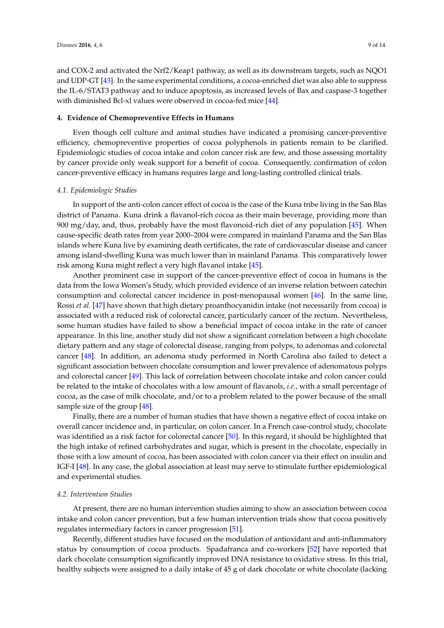and COX-2 and activated the Nrf2/Keap1 pathway, as well as its downstream targets, such as NQO1 and UDP-GT [\[43\]](#page-12-6). In the same experimental conditions, a cocoa-enriched diet was also able to suppress the IL-6/STAT3 pathway and to induce apoptosis, as increased levels of Bax and caspase-3 together with diminished Bcl-xl values were observed in cocoa-fed mice [\[44\]](#page-12-7).

## **4. Evidence of Chemopreventive Effects in Humans**

Even though cell culture and animal studies have indicated a promising cancer-preventive efficiency, chemopreventive properties of cocoa polyphenols in patients remain to be clarified. Epidemiologic studies of cocoa intake and colon cancer risk are few, and those assessing mortality by cancer provide only weak support for a benefit of cocoa. Consequently, confirmation of colon cancer-preventive efficacy in humans requires large and long-lasting controlled clinical trials.

# *4.1. Epidemiologic Studies*

In support of the anti-colon cancer effect of cocoa is the case of the Kuna tribe living in the San Blas district of Panama. Kuna drink a flavanol-rich cocoa as their main beverage, providing more than 900 mg/day, and, thus, probably have the most flavonoid-rich diet of any population [\[45\]](#page-12-8). When cause-specific death rates from year 2000–2004 were compared in mainland Panama and the San Blas islands where Kuna live by examining death certificates, the rate of cardiovascular disease and cancer among island-dwelling Kuna was much lower than in mainland Panama. This comparatively lower risk among Kuna might reflect a very high flavanol intake [\[45\]](#page-12-8).

Another prominent case in support of the cancer-preventive effect of cocoa in humans is the data from the Iowa Women's Study, which provided evidence of an inverse relation between catechin consumption and colorectal cancer incidence in post-menopausal women [\[46\]](#page-12-9). In the same line, Rossi *et al.* [\[47\]](#page-12-10) have shown that high dietary proanthocyanidin intake (not necessarily from cocoa) is associated with a reduced risk of colorectal cancer, particularly cancer of the rectum. Nevertheless, some human studies have failed to show a beneficial impact of cocoa intake in the rate of cancer appearance. In this line, another study did not show a significant correlation between a high chocolate dietary pattern and any stage of colorectal disease, ranging from polyps, to adenomas and colorectal cancer [\[48\]](#page-12-11). In addition, an adenoma study performed in North Carolina also failed to detect a significant association between chocolate consumption and lower prevalence of adenomatous polyps and colorectal cancer [\[49\]](#page-12-12). This lack of correlation between chocolate intake and colon cancer could be related to the intake of chocolates with a low amount of flavanols, *i.e.*, with a small percentage of cocoa, as the case of milk chocolate, and/or to a problem related to the power because of the small sample size of the group [\[48\]](#page-12-11).

Finally, there are a number of human studies that have shown a negative effect of cocoa intake on overall cancer incidence and, in particular, on colon cancer. In a French case-control study, chocolate was identified as a risk factor for colorectal cancer [\[50\]](#page-12-13). In this regard, it should be highlighted that the high intake of refined carbohydrates and sugar, which is present in the chocolate, especially in those with a low amount of cocoa, has been associated with colon cancer via their effect on insulin and IGF-I [\[48\]](#page-12-11). In any case, the global association at least may serve to stimulate further epidemiological and experimental studies.

## *4.2. Intervention Studies*

At present, there are no human intervention studies aiming to show an association between cocoa intake and colon cancer prevention, but a few human intervention trials show that cocoa positively regulates intermediary factors in cancer progression [\[51\]](#page-12-14).

Recently, different studies have focused on the modulation of antioxidant and anti-inflammatory status by consumption of cocoa products. Spadafranca and co-workers [\[52\]](#page-12-15) have reported that dark chocolate consumption significantly improved DNA resistance to oxidative stress. In this trial, healthy subjects were assigned to a daily intake of 45 g of dark chocolate or white chocolate (lacking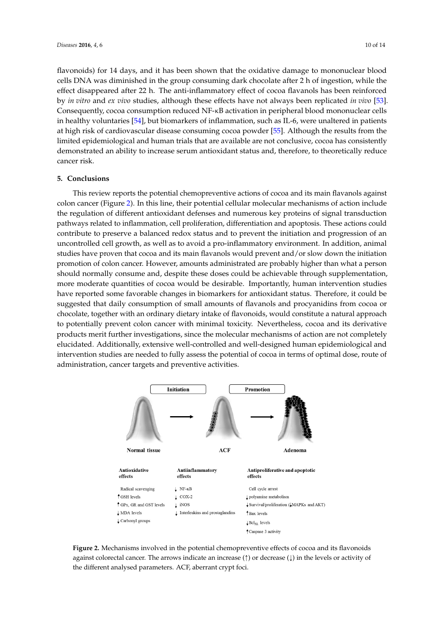flavonoids) for 14 days, and it has been shown that the oxidative damage to mononuclear blood cells DNA was diminished in the group consuming dark chocolate after 2 h of ingestion, while the effect disappeared after 22 h. The anti-inflammatory effect of cocoa flavanols has been reinforced by *in vitro* and *ex vivo* studies, although these effects have not always been replicated *in vivo* [\[53\]](#page-12-16). Consequently, cocoa consumption reduced NF-κB activation in peripheral blood mononuclear cells in healthy voluntaries [\[54\]](#page-13-0), but biomarkers of inflammation, such as IL-6, were unaltered in patients at high risk of cardiovascular disease consuming cocoa powder [\[55\]](#page-13-1). Although the results from the limited epidemiological and human trials that are available are not conclusive, cocoa has consistently demonstrated an ability to increase serum antioxidant status and, therefore, to theoretically reduce cancer risk.

# **5. Conclusions**

This review reports the potential chemopreventive actions of cocoa and its main flavanols against colon cancer (Figure [2\)](#page-9-0). In this line, their potential cellular molecular mechanisms of action include the regulation of different antioxidant defenses and numerous key proteins of signal transduction pathways related to inflammation, cell proliferation, differentiation and apoptosis. These actions could **5. Conclusions**  contribute to preserve a balanced redox status and to prevent the initiation and progression of an uncontrolled cell growth, as well as to avoid a pro-inflammatory environment. In addition, animal studies have proven that cocoa and its main flavanols would prevent and/or slow down the initiation promotion of colon cancer. However, amounts administrated are probably higher than what a person should normally consume and, despite these doses could be achievable through supplementation, more moderate quantities of cocoa would be desirable. Importantly, human intervention studies have reported some favorable changes in biomarkers for antioxidant status. Therefore, it could be suggested that daily consumption of small amounts of flavanols and procyanidins from cocoa or chocolate, together with an ordinary dietary intake of flavonoids, would constitute a natural approach to potentially prevent colon cancer with minimal toxicity. Nevertheless, cocoa and its derivative products merit further investigations, since the molecular mechanisms of action are not completely elucidated. Additionally, extensive well-controlled and well-designed human epidemiological and intervention studies are needed to fully assess the potential of cocoa in terms of optimal dose, route of administration, cancer targets and preventive activities. of colon cancel. Thowever, amounts administrated are probably inglier than wit the some favorable enarges in commences for andonally states. Therefore, constitute allowing and the molecular incentialisms of action are not terms cancer targets and preventive activities.

<span id="page-9-0"></span>

**Figure 2.** Mechanisms involved in the potential chemopreventive effects of cocoa and its flavonoids **Figure 2.** Mechanisms involved in the potential chemopreventive effects of cocoa and its flavonoids against colorectal cancer. The arrows indicate an increase (↑) or decrease (↓) in the levels or activity of the different analysed parameters. ACF, aberrant crypt foci. the different analysed parameters. ACF, aberrant crypt foci.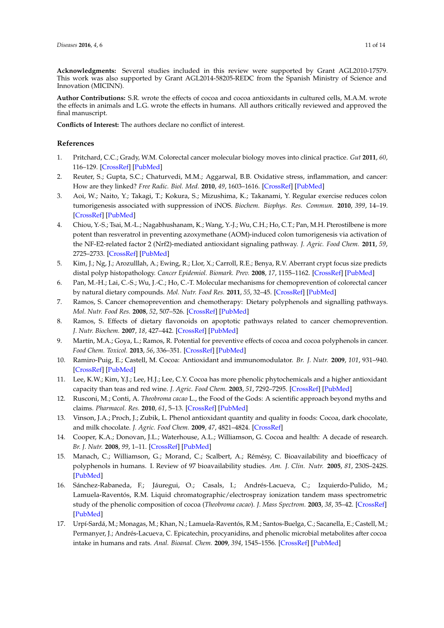**Acknowledgments:** Several studies included in this review were supported by Grant AGL2010-17579. This work was also supported by Grant AGL2014-58205-REDC from the Spanish Ministry of Science and Innovation (MICINN).

**Author Contributions:** S.R. wrote the effects of cocoa and cocoa antioxidants in cultured cells, M.A.M. wrote the effects in animals and L.G. wrote the effects in humans. All authors critically reviewed and approved the final manuscript.

**Conflicts of Interest:** The authors declare no conflict of interest.

## **References**

- <span id="page-10-0"></span>1. Pritchard, C.C.; Grady, W.M. Colorectal cancer molecular biology moves into clinical practice. *Gut* **2011**, *60*, 116–129. [\[CrossRef\]](http://dx.doi.org/10.1136/gut.2009.206250) [\[PubMed\]](http://www.ncbi.nlm.nih.gov/pubmed/20921207)
- <span id="page-10-1"></span>2. Reuter, S.; Gupta, S.C.; Chaturvedi, M.M.; Aggarwal, B.B. Oxidative stress, inflammation, and cancer: How are they linked? *Free Radic. Biol. Med.* **2010**, *49*, 1603–1616. [\[CrossRef\]](http://dx.doi.org/10.1016/j.freeradbiomed.2010.09.006) [\[PubMed\]](http://www.ncbi.nlm.nih.gov/pubmed/20840865)
- <span id="page-10-2"></span>3. Aoi, W.; Naito, Y.; Takagi, T.; Kokura, S.; Mizushima, K.; Takanami, Y. Regular exercise reduces colon tumorigenesis associated with suppression of iNOS. *Biochem. Biophys. Res. Commun.* **2010**, *399*, 14–19. [\[CrossRef\]](http://dx.doi.org/10.1016/j.bbrc.2010.07.023) [\[PubMed\]](http://www.ncbi.nlm.nih.gov/pubmed/20633535)
- <span id="page-10-3"></span>4. Chiou, Y.-S.; Tsai, M.-L.; Nagabhushanam, K.; Wang, Y.-J.; Wu, C.H.; Ho, C.T.; Pan, M.H. Pterostilbene is more potent than resveratrol in preventing azoxymethane (AOM)-induced colon tumorigenesis via activation of the NF-E2-related factor 2 (Nrf2)-mediated antioxidant signaling pathway. *J. Agric. Food Chem.* **2011**, *59*, 2725–2733. [\[CrossRef\]](http://dx.doi.org/10.1021/jf2000103) [\[PubMed\]](http://www.ncbi.nlm.nih.gov/pubmed/21355597)
- <span id="page-10-4"></span>5. Kim, J.; Ng, J.; Arozulllah, A.; Ewing, R.; Llor, X.; Carroll, R.E.; Benya, R.V. Aberrant crypt focus size predicts distal polyp histopathology. *Cancer Epidemiol. Biomark. Prev.* **2008**, *17*, 1155–1162. [\[CrossRef\]](http://dx.doi.org/10.1158/1055-9965.EPI-07-2731) [\[PubMed\]](http://www.ncbi.nlm.nih.gov/pubmed/18483337)
- <span id="page-10-5"></span>6. Pan, M.-H.; Lai, C.-S.; Wu, J.-C.; Ho, C.-T. Molecular mechanisms for chemoprevention of colorectal cancer by natural dietary compounds. *Mol. Nutr. Food Res.* **2011**, *55*, 32–45. [\[CrossRef\]](http://dx.doi.org/10.1002/mnfr.201000412) [\[PubMed\]](http://www.ncbi.nlm.nih.gov/pubmed/21207511)
- <span id="page-10-6"></span>7. Ramos, S. Cancer chemoprevention and chemotherapy: Dietary polyphenols and signalling pathways. *Mol. Nutr. Food Res.* **2008**, *52*, 507–526. [\[CrossRef\]](http://dx.doi.org/10.1002/mnfr.200700326) [\[PubMed\]](http://www.ncbi.nlm.nih.gov/pubmed/18435439)
- 8. Ramos, S. Effects of dietary flavonoids on apoptotic pathways related to cancer chemoprevention. *J. Nutr. Biochem.* **2007**, *18*, 427–442. [\[CrossRef\]](http://dx.doi.org/10.1016/j.jnutbio.2006.11.004) [\[PubMed\]](http://www.ncbi.nlm.nih.gov/pubmed/17321735)
- <span id="page-10-14"></span>9. Martín, M.A.; Goya, L.; Ramos, R. Potential for preventive effects of cocoa and cocoa polyphenols in cancer. *Food Chem. Toxicol.* **2013**, *56*, 336–351. [\[CrossRef\]](http://dx.doi.org/10.1016/j.fct.2013.02.020) [\[PubMed\]](http://www.ncbi.nlm.nih.gov/pubmed/23439478)
- <span id="page-10-7"></span>10. Ramiro-Puig, E.; Castell, M. Cocoa: Antioxidant and immunomodulator. *Br. J. Nutr.* **2009**, *101*, 931–940. [\[CrossRef\]](http://dx.doi.org/10.1017/S0007114508169896) [\[PubMed\]](http://www.ncbi.nlm.nih.gov/pubmed/19126261)
- <span id="page-10-8"></span>11. Lee, K.W.; Kim, Y.J.; Lee, H.J.; Lee, C.Y. Cocoa has more phenolic phytochemicals and a higher antioxidant capacity than teas and red wine. *J. Agric. Food Chem.* **2003**, *51*, 7292–7295. [\[CrossRef\]](http://dx.doi.org/10.1021/jf0344385) [\[PubMed\]](http://www.ncbi.nlm.nih.gov/pubmed/14640573)
- 12. Rusconi, M.; Conti, A. *Theobroma cacao* L., the Food of the Gods: A scientific approach beyond myths and claims. *Pharmacol. Res.* **2010**, *61*, 5–13. [\[CrossRef\]](http://dx.doi.org/10.1016/j.phrs.2009.08.008) [\[PubMed\]](http://www.ncbi.nlm.nih.gov/pubmed/19735732)
- <span id="page-10-9"></span>13. Vinson, J.A.; Proch, J.; Zubik, L. Phenol antioxidant quantity and quality in foods: Cocoa, dark chocolate, and milk chocolate. *J. Agric. Food Chem.* **2009**, *47*, 4821–4824. [\[CrossRef\]](http://dx.doi.org/10.1021/jf990312p)
- <span id="page-10-10"></span>14. Cooper, K.A.; Donovan, J.L.; Waterhouse, A.L.; Williamson, G. Cocoa and health: A decade of research. *Br. J. Nutr.* **2008**, *99*, 1–11. [\[CrossRef\]](http://dx.doi.org/10.1017/S0007114507795296) [\[PubMed\]](http://www.ncbi.nlm.nih.gov/pubmed/17666148)
- <span id="page-10-11"></span>15. Manach, C.; Williamson, G.; Morand, C.; Scalbert, A.; Rémésy, C. Bioavailability and bioefficacy of polyphenols in humans. I. Review of 97 bioavailability studies. *Am. J. Clin. Nutr.* **2005**, *81*, 230S–242S. [\[PubMed\]](http://www.ncbi.nlm.nih.gov/pubmed/15640486)
- <span id="page-10-12"></span>16. Sánchez-Rabaneda, F.; Jáuregui, O.; Casals, I.; Andrés-Lacueva, C.; Izquierdo-Pulido, M.; Lamuela-Raventós, R.M. Liquid chromatographic/electrospray ionization tandem mass spectrometric study of the phenolic composition of cocoa (*Theobroma cacao*). *J. Mass Spectrom.* **2003**, *38*, 35–42. [\[CrossRef\]](http://dx.doi.org/10.1002/jms.395) [\[PubMed\]](http://www.ncbi.nlm.nih.gov/pubmed/12526004)
- <span id="page-10-13"></span>17. Urpí-Sardá, M.; Monagas, M.; Khan, N.; Lamuela-Raventós, R.M.; Santos-Buelga, C.; Sacanella, E.; Castell, M.; Permanyer, J.; Andrés-Lacueva, C. Epicatechin, procyanidins, and phenolic microbial metabolites after cocoa intake in humans and rats. *Anal. Bioanal. Chem.* **2009**, *394*, 1545–1556. [\[CrossRef\]](http://dx.doi.org/10.1007/s00216-009-2676-1) [\[PubMed\]](http://www.ncbi.nlm.nih.gov/pubmed/19333587)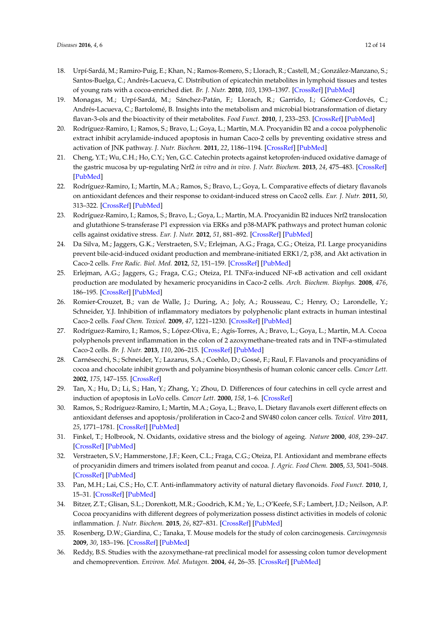- <span id="page-11-6"></span><span id="page-11-5"></span><span id="page-11-4"></span><span id="page-11-3"></span><span id="page-11-2"></span><span id="page-11-0"></span>18. Urpí-Sardá, M.; Ramiro-Puig, E.; Khan, N.; Ramos-Romero, S.; Llorach, R.; Castell, M.; González-Manzano, S.; Santos-Buelga, C.; Andrés-Lacueva, C. Distribution of epicatechin metabolites in lymphoid tissues and testes of young rats with a cocoa-enriched diet. *Br. J. Nutr.* **2010**, *103*, 1393–1397. [\[CrossRef\]](http://dx.doi.org/10.1017/S0007114509993473) [\[PubMed\]](http://www.ncbi.nlm.nih.gov/pubmed/20100378)
- <span id="page-11-7"></span><span id="page-11-1"></span>19. Monagas, M.; Urpí-Sardá, M.; Sánchez-Patán, F.; Llorach, R.; Garrido, I.; Gómez-Cordovés, C.; Andrés-Lacueva, C.; Bartolomé, B. Insights into the metabolism and microbial biotransformation of dietary flavan-3-ols and the bioactivity of their metabolites. *Food Funct.* **2010**, *1*, 233–253. [\[CrossRef\]](http://dx.doi.org/10.1039/c0fo00132e) [\[PubMed\]](http://www.ncbi.nlm.nih.gov/pubmed/21776473)
- <span id="page-11-14"></span><span id="page-11-8"></span>20. Rodríguez-Ramiro, I.; Ramos, S.; Bravo, L.; Goya, L.; Martín, M.A. Procyanidin B2 and a cocoa polyphenolic extract inhibit acrylamide-induced apoptosis in human Caco-2 cells by preventing oxidative stress and activation of JNK pathway. *J. Nutr. Biochem.* **2011**, *22*, 1186–1194. [\[CrossRef\]](http://dx.doi.org/10.1016/j.jnutbio.2010.10.005) [\[PubMed\]](http://www.ncbi.nlm.nih.gov/pubmed/21334869)
- <span id="page-11-15"></span><span id="page-11-10"></span><span id="page-11-9"></span>21. Cheng, Y.T.; Wu, C.H.; Ho, C.Y.; Yen, G.C. Catechin protects against ketoprofen-induced oxidative damage of the gastric mucosa by up-regulating Nrf2 *in vitro* and *in vivo*. *J. Nutr. Biochem.* **2013**, *24*, 475–483. [\[CrossRef\]](http://dx.doi.org/10.1016/j.jnutbio.2012.01.010) [\[PubMed\]](http://www.ncbi.nlm.nih.gov/pubmed/22704780)
- <span id="page-11-16"></span>22. Rodríguez-Ramiro, I.; Martín, M.A.; Ramos, S.; Bravo, L.; Goya, L. Comparative effects of dietary flavanols on antioxidant defences and their response to oxidant-induced stress on Caco2 cells. *Eur. J. Nutr.* **2011**, *50*, 313–322. [\[CrossRef\]](http://dx.doi.org/10.1007/s00394-010-0139-2) [\[PubMed\]](http://www.ncbi.nlm.nih.gov/pubmed/21046126)
- <span id="page-11-17"></span><span id="page-11-12"></span><span id="page-11-11"></span>23. Rodríguez-Ramiro, I.; Ramos, S.; Bravo, L.; Goya, L.; Martín, M.A. Procyanidin B2 induces Nrf2 translocation and glutathione S-transferase P1 expression via ERKs and p38-MAPK pathways and protect human colonic cells against oxidative stress. *Eur. J. Nutr.* **2012**, *51*, 881–892. [\[CrossRef\]](http://dx.doi.org/10.1007/s00394-011-0269-1) [\[PubMed\]](http://www.ncbi.nlm.nih.gov/pubmed/22042007)
- <span id="page-11-19"></span>24. Da Silva, M.; Jaggers, G.K.; Verstraeten, S.V.; Erlejman, A.G.; Fraga, C.G.; Oteiza, P.I. Large procyanidins prevent bile-acid-induced oxidant production and membrane-initiated ERK1/2, p38, and Akt activation in Caco-2 cells. *Free Radic. Biol. Med.* **2012**, *52*, 151–159. [\[CrossRef\]](http://dx.doi.org/10.1016/j.freeradbiomed.2011.10.436) [\[PubMed\]](http://www.ncbi.nlm.nih.gov/pubmed/22074817)
- <span id="page-11-20"></span>25. Erlejman, A.G.; Jaggers, G.; Fraga, C.G.; Oteiza, P.I. TNFα-induced NF-κB activation and cell oxidant production are modulated by hexameric procyanidins in Caco-2 cells. *Arch. Biochem. Biophys.* **2008**, *476*, 186–195. [\[CrossRef\]](http://dx.doi.org/10.1016/j.abb.2008.01.024) [\[PubMed\]](http://www.ncbi.nlm.nih.gov/pubmed/18275839)
- <span id="page-11-22"></span>26. Romier-Crouzet, B.; van de Walle, J.; During, A.; Joly, A.; Rousseau, C.; Henry, O.; Larondelle, Y.; Schneider, Y.J. Inhibition of inflammatory mediators by polyphenolic plant extracts in human intestinal Caco-2 cells. *Food Chem. Toxicol.* **2009**, *47*, 1221–1230. [\[CrossRef\]](http://dx.doi.org/10.1016/j.fct.2009.02.015) [\[PubMed\]](http://www.ncbi.nlm.nih.gov/pubmed/19233242)
- <span id="page-11-23"></span>27. Rodríguez-Ramiro, I.; Ramos, S.; López-Oliva, E.; Agís-Torres, A.; Bravo, L.; Goya, L.; Martín, M.A. Cocoa polyphenols prevent inflammation in the colon of 2 azoxymethane-treated rats and in TNF-a-stimulated Caco-2 cells. *Br. J. Nutr.* **2013**, *110*, 206–215. [\[CrossRef\]](http://dx.doi.org/10.1017/S0007114512004862) [\[PubMed\]](http://www.ncbi.nlm.nih.gov/pubmed/23186731)
- <span id="page-11-25"></span>28. Carnésecchi, S.; Schneider, Y.; Lazarus, S.A.; Coehlo, D.; Gossé, F.; Raul, F. Flavanols and procyanidins of cocoa and chocolate inhibit growth and polyamine biosynthesis of human colonic cancer cells. *Cancer Lett.* **2002**, *175*, 147–155. [\[CrossRef\]](http://dx.doi.org/10.1016/S0304-3835(01)00731-5)
- <span id="page-11-26"></span>29. Tan, X.; Hu, D.; Li, S.; Han, Y.; Zhang, Y.; Zhou, D. Differences of four catechins in cell cycle arrest and induction of apoptosis in LoVo cells. *Cancer Lett.* **2000**, *158*, 1–6. [\[CrossRef\]](http://dx.doi.org/10.1016/S0304-3835(00)00445-6)
- <span id="page-11-27"></span>30. Ramos, S.; Rodríguez-Ramiro, I.; Martín, M.A.; Goya, L.; Bravo, L. Dietary flavanols exert different effects on antioxidant defenses and apoptosis/proliferation in Caco-2 and SW480 colon cancer cells. *Toxicol. Vitro* **2011**, *25*, 1771–1781. [\[CrossRef\]](http://dx.doi.org/10.1016/j.tiv.2011.09.007) [\[PubMed\]](http://www.ncbi.nlm.nih.gov/pubmed/21945981)
- <span id="page-11-13"></span>31. Finkel, T.; Holbrook, N. Oxidants, oxidative stress and the biology of ageing. *Nature* **2000**, *408*, 239–247. [\[CrossRef\]](http://dx.doi.org/10.1038/35041687) [\[PubMed\]](http://www.ncbi.nlm.nih.gov/pubmed/11089981)
- <span id="page-11-18"></span>32. Verstraeten, S.V.; Hammerstone, J.F.; Keen, C.L.; Fraga, C.G.; Oteiza, P.I. Antioxidant and membrane effects of procyanidin dimers and trimers isolated from peanut and cocoa. *J. Agric. Food Chem.* **2005**, *53*, 5041–5048. [\[CrossRef\]](http://dx.doi.org/10.1021/jf058018m) [\[PubMed\]](http://www.ncbi.nlm.nih.gov/pubmed/15941354)
- <span id="page-11-21"></span>33. Pan, M.H.; Lai, C.S.; Ho, C.T. Anti-inflammatory activity of natural dietary flavonoids. *Food Funct.* **2010**, *1*, 15–31. [\[CrossRef\]](http://dx.doi.org/10.1039/c0fo00103a) [\[PubMed\]](http://www.ncbi.nlm.nih.gov/pubmed/21776454)
- <span id="page-11-24"></span>34. Bitzer, Z.T.; Glisan, S.L.; Dorenkott, M.R.; Goodrich, K.M.; Ye, L.; O'Keefe, S.F.; Lambert, J.D.; Neilson, A.P. Cocoa procyanidins with different degrees of polymerization possess distinct activities in models of colonic inflammation. *J. Nutr. Biochem.* **2015**, *26*, 827–831. [\[CrossRef\]](http://dx.doi.org/10.1016/j.jnutbio.2015.02.007) [\[PubMed\]](http://www.ncbi.nlm.nih.gov/pubmed/25869594)
- <span id="page-11-28"></span>35. Rosenberg, D.W.; Giardina, C.; Tanaka, T. Mouse models for the study of colon carcinogenesis. *Carcinogenesis* **2009**, *30*, 183–196. [\[CrossRef\]](http://dx.doi.org/10.1093/carcin/bgn267) [\[PubMed\]](http://www.ncbi.nlm.nih.gov/pubmed/19037092)
- <span id="page-11-29"></span>36. Reddy, B.S. Studies with the azoxymethane-rat preclinical model for assessing colon tumor development and chemoprevention. *Environ. Mol. Mutagen.* **2004**, *44*, 26–35. [\[CrossRef\]](http://dx.doi.org/10.1002/em.20026) [\[PubMed\]](http://www.ncbi.nlm.nih.gov/pubmed/15199544)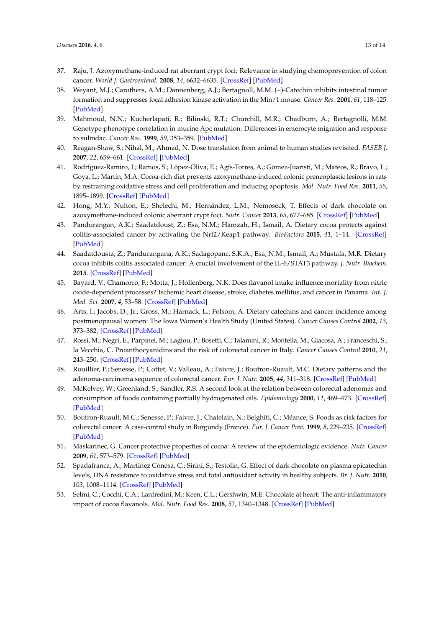- <span id="page-12-0"></span>37. Raju, J. Azoxymethane-induced rat aberrant crypt foci: Relevance in studying chemoprevention of colon cancer. *World J. Gastroenterol.* **2008**, *14*, 6632–6635. [\[CrossRef\]](http://dx.doi.org/10.3748/wjg.14.6632) [\[PubMed\]](http://www.ncbi.nlm.nih.gov/pubmed/19034964)
- <span id="page-12-1"></span>38. Weyant, M.J.; Carothers, A.M.; Dannenberg, A.J.; Bertagnoll, M.M. (+)-Catechin inhibits intestinal tumor formation and suppresses focal adhesion kinase activation in the Min/1 mouse. *Cancer Res.* **2001**, *61*, 118–125. [\[PubMed\]](http://www.ncbi.nlm.nih.gov/pubmed/11196148)
- <span id="page-12-2"></span>39. Mahmoud, N.N.; Kucherlapati, R.; Bilinski, R.T.; Churchill, M.R.; Chadburn, A.; Bertagnolli, M.M. Genotype-phenotype correlation in murine Apc mutation: Differences in enterocyte migration and response to sulindac. *Cancer Res.* **1999**, *59*, 353–359. [\[PubMed\]](http://www.ncbi.nlm.nih.gov/pubmed/9927046)
- <span id="page-12-3"></span>40. Reagan-Shaw, S.; Nihal, M.; Ahmad, N. Dose translation from animal to human studies revisited. *FASEB J.* **2007**, *22*, 659–661. [\[CrossRef\]](http://dx.doi.org/10.1096/fj.07-9574LSF) [\[PubMed\]](http://www.ncbi.nlm.nih.gov/pubmed/17942826)
- <span id="page-12-4"></span>41. Rodríguez-Ramiro, I.; Ramos, S.; López-Oliva, E.; Agís-Torres, A.; Gómez-Juaristi, M.; Mateos, R.; Bravo, L.; Goya, L.; Martín, M.A. Cocoa-rich diet prevents azoxymethane-induced colonic preneoplastic lesions in rats by restraining oxidative stress and cell proliferation and inducing apoptosis. *Mol. Nutr. Food Res.* **2011**, *55*, 1895–1899. [\[CrossRef\]](http://dx.doi.org/10.1002/mnfr.201100363) [\[PubMed\]](http://www.ncbi.nlm.nih.gov/pubmed/21953728)
- <span id="page-12-5"></span>42. Hong, M.Y.; Nulton, E.; Shelechi, M.; Hernández, L.M.; Nemoseck, T. Effects of dark chocolate on azoxymethane-induced colonic aberrant crypt foci. *Nutr. Cancer* **2013**, *65*, 677–685. [\[CrossRef\]](http://dx.doi.org/10.1080/01635581.2013.789542) [\[PubMed\]](http://www.ncbi.nlm.nih.gov/pubmed/23859035)
- <span id="page-12-6"></span>43. Pandurangan, A.K.; Saadatdoust, Z.; Esa, N.M.; Hamzah, H.; Ismail, A. Dietary cocoa protects against colitis-associated cancer by activating the Nrf2/Keap1 pathway. *BioFactors* **2015**, *41*, 1–14. [\[CrossRef\]](http://dx.doi.org/10.1002/biof.1195) [\[PubMed\]](http://www.ncbi.nlm.nih.gov/pubmed/25545372)
- <span id="page-12-7"></span>44. Saadatdousta, Z.; Pandurangana, A.K.; Sadagopanc, S.K.A.; Esa, N.M.; Ismail, A.; Mustafa, M.R. Dietary cocoa inhibits colitis associated cancer: A crucial involvement of the IL-6/STAT3 pathway. *J. Nutr. Biochem.* **2015**. [\[CrossRef\]](http://dx.doi.org/10.1016/j.jnutbio.2015.07.024) [\[PubMed\]](http://www.ncbi.nlm.nih.gov/pubmed/26355019)
- <span id="page-12-8"></span>45. Bayard, V.; Chamorro, F.; Motta, J.; Hollenberg, N.K. Does flavanol intake influence mortality from nitric oxide-dependent processes? Ischemic heart disease, stroke, diabetes mellitus, and cancer in Panama. *Int. J. Med. Sci.* **2007**, *4*, 53–58. [\[CrossRef\]](http://dx.doi.org/10.7150/ijms.4.53) [\[PubMed\]](http://www.ncbi.nlm.nih.gov/pubmed/17299579)
- <span id="page-12-9"></span>46. Arts, I.; Jacobs, D., Jr.; Gross, M.; Harnack, L.; Folsom, A. Dietary catechins and cancer incidence among postmenopausal women: The Iowa Women's Health Study (United States). *Cancer Causes Control* **2002**, *13*, 373–382. [\[CrossRef\]](http://dx.doi.org/10.1023/A:1015290131096) [\[PubMed\]](http://www.ncbi.nlm.nih.gov/pubmed/12074507)
- <span id="page-12-10"></span>47. Rossi, M.; Negri, E.; Parpinel, M.; Lagiou, P.; Bosetti, C.; Talamini, R.; Montella, M.; Giacosa, A.; Franceschi, S.; la Vecchia, C. Proanthocyanidins and the risk of colorectal cancer in Italy. *Cancer Causes Control* **2010**, *21*, 243–250. [\[CrossRef\]](http://dx.doi.org/10.1007/s10552-009-9455-3) [\[PubMed\]](http://www.ncbi.nlm.nih.gov/pubmed/20012183)
- <span id="page-12-11"></span>48. Rouillier, P.; Senesse, P.; Cottet, V.; Valleau, A.; Faivre, J.; Boutron-Ruault, M.C. Dietary patterns and the adenoma-carcinoma sequence of colorectal cancer. *Eur. J. Nutr.* **2005**, *44*, 311–318. [\[CrossRef\]](http://dx.doi.org/10.1007/s00394-004-0525-8) [\[PubMed\]](http://www.ncbi.nlm.nih.gov/pubmed/15316829)
- <span id="page-12-12"></span>49. McKelvey, W.; Greenland, S.; Sandler, R.S. A second look at the relation between colorectal adenomas and consumption of foods containing partially hydrogenated oils. *Epidemiology* **2000**, *11*, 469–473. [\[CrossRef\]](http://dx.doi.org/10.1097/00001648-200007000-00018) [\[PubMed\]](http://www.ncbi.nlm.nih.gov/pubmed/10874557)
- <span id="page-12-13"></span>50. Boutron-Ruault, M.C.; Senesse, P.; Faivre, J.; Chatelain, N.; Belghiti, C.; Méance, S. Foods as risk factors for colorectal cancer: A case-control study in Burgundy (France). *Eur. J. Cancer Prev.* **1999**, *8*, 229–235. [\[CrossRef\]](http://dx.doi.org/10.1097/00008469-199906000-00011) [\[PubMed\]](http://www.ncbi.nlm.nih.gov/pubmed/10443952)
- <span id="page-12-14"></span>51. Maskarinec, G. Cancer protective properties of cocoa: A review of the epidemiologic evidence. *Nutr. Cancer* **2009**, *61*, 573–579. [\[CrossRef\]](http://dx.doi.org/10.1080/01635580902825662) [\[PubMed\]](http://www.ncbi.nlm.nih.gov/pubmed/19838930)
- <span id="page-12-15"></span>52. Spadafranca, A.; Martinez Conesa, C.; Sirini, S.; Testolin, G. Effect of dark chocolate on plasma epicatechin levels, DNA resistance to oxidative stress and total antioxidant activity in healthy subjects. *Br. J. Nutr.* **2010**, *103*, 1008–1114. [\[CrossRef\]](http://dx.doi.org/10.1017/S0007114509992698) [\[PubMed\]](http://www.ncbi.nlm.nih.gov/pubmed/19889244)
- <span id="page-12-16"></span>53. Selmi, C.; Cocchi, C.A.; Lanfredini, M.; Keen, C.L.; Gershwin, M.E. Chocolate at heart: The anti-inflammatory impact of cocoa flavanols. *Mol. Nutr. Food Res.* **2008**, *52*, 1340–1348. [\[CrossRef\]](http://dx.doi.org/10.1002/mnfr.200700435) [\[PubMed\]](http://www.ncbi.nlm.nih.gov/pubmed/18991246)